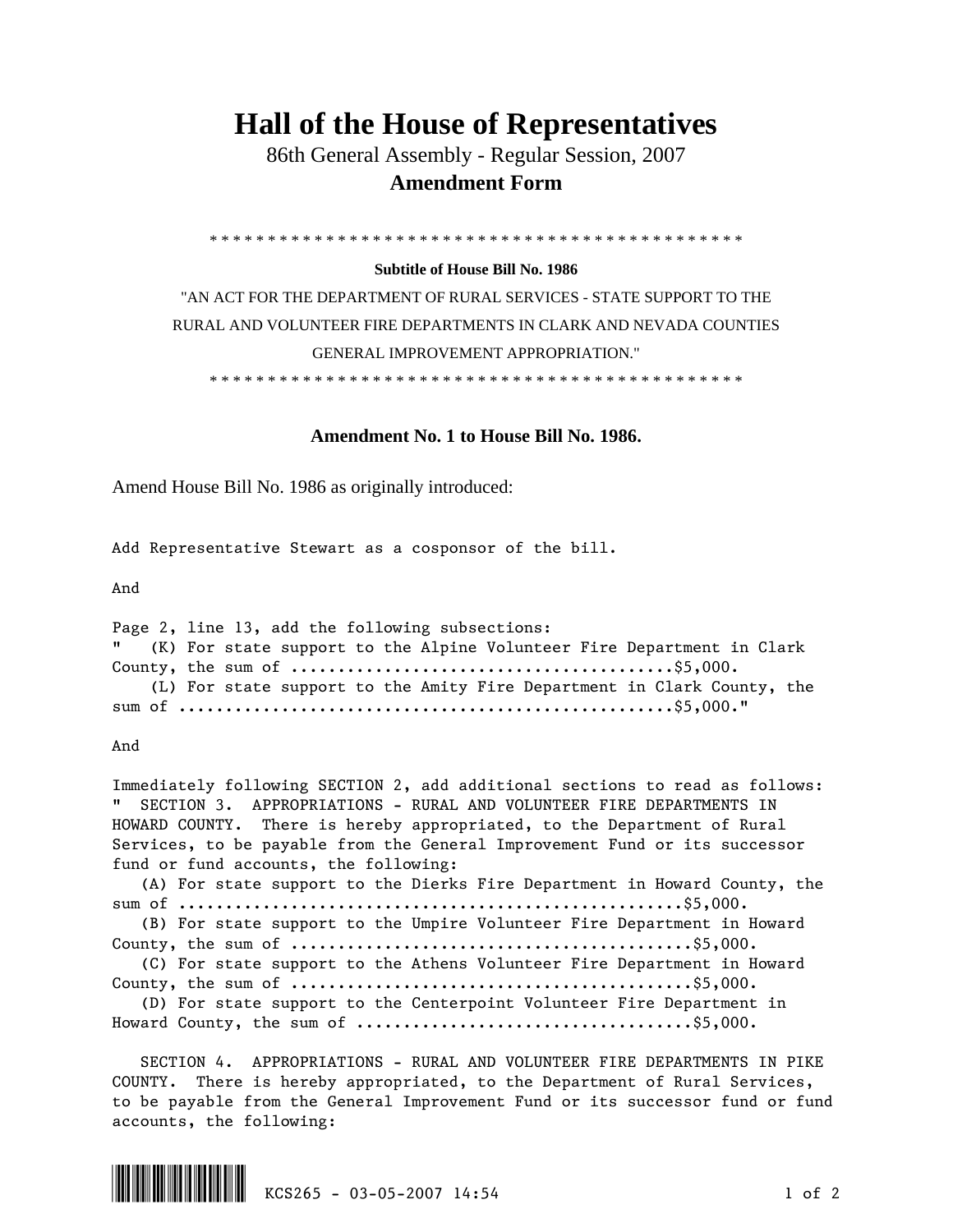## **Hall of the House of Representatives**

 86th General Assembly - Regular Session, 2007  **Amendment Form** 

\* \* \* \* \* \* \* \* \* \* \* \* \* \* \* \* \* \* \* \* \* \* \* \* \* \* \* \* \* \* \* \* \* \* \* \* \* \* \* \* \* \* \* \* \* \*

## **Subtitle of House Bill No. 1986**

"AN ACT FOR THE DEPARTMENT OF RURAL SERVICES - STATE SUPPORT TO THE RURAL AND VOLUNTEER FIRE DEPARTMENTS IN CLARK AND NEVADA COUNTIES GENERAL IMPROVEMENT APPROPRIATION."

\* \* \* \* \* \* \* \* \* \* \* \* \* \* \* \* \* \* \* \* \* \* \* \* \* \* \* \* \* \* \* \* \* \* \* \* \* \* \* \* \* \* \* \* \* \*

## **Amendment No. 1 to House Bill No. 1986.**

Amend House Bill No. 1986 as originally introduced:

Add Representative Stewart as a cosponsor of the bill.

And

Page 2, line 13, add the following subsections: (K) For state support to the Alpine Volunteer Fire Department in Clark County, the sum of .........................................\$5,000. (L) For state support to the Amity Fire Department in Clark County, the sum of .....................................................\$5,000."

And

Immediately following SECTION 2, add additional sections to read as follows: " SECTION 3. APPROPRIATIONS - RURAL AND VOLUNTEER FIRE DEPARTMENTS IN HOWARD COUNTY. There is hereby appropriated, to the Department of Rural Services, to be payable from the General Improvement Fund or its successor fund or fund accounts, the following: (A) For state support to the Dierks Fire Department in Howard County, the

sum of ......................................................\$5,000. (B) For state support to the Umpire Volunteer Fire Department in Howard County, the sum of ...........................................\$5,000.

(C) For state support to the Athens Volunteer Fire Department in Howard

County, the sum of ...........................................\$5,000.

 (D) For state support to the Centerpoint Volunteer Fire Department in Howard County, the sum of  $\dots\dots\dots\dots\dots\dots\dots\dots\dots\dots\dots\dots\dots\dots\dots$ 

 SECTION 4. APPROPRIATIONS - RURAL AND VOLUNTEER FIRE DEPARTMENTS IN PIKE COUNTY. There is hereby appropriated, to the Department of Rural Services, to be payable from the General Improvement Fund or its successor fund or fund accounts, the following: